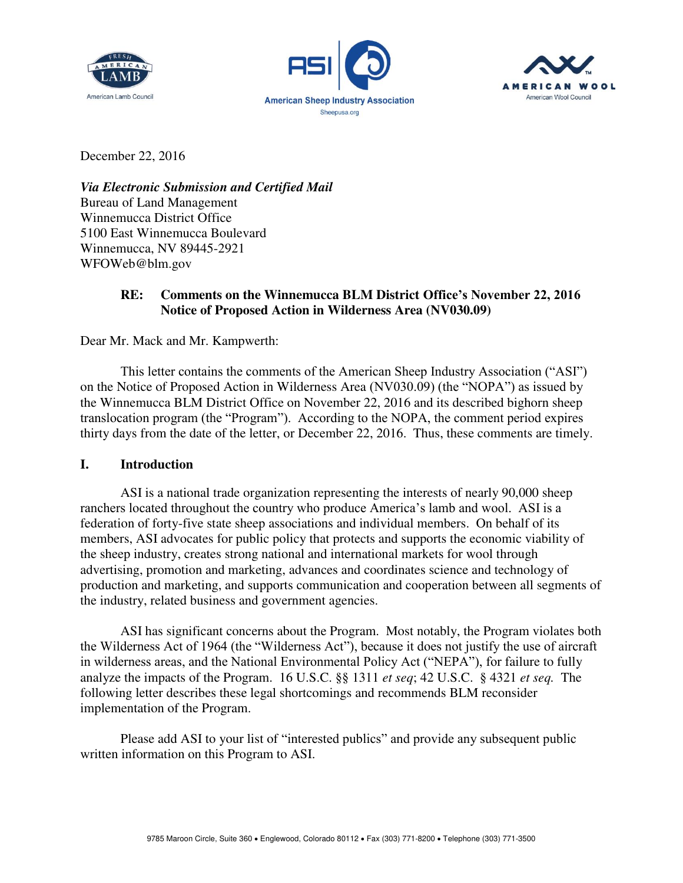





December 22, 2016

*Via Electronic Submission and Certified Mail*  Bureau of Land Management Winnemucca District Office 5100 East Winnemucca Boulevard Winnemucca, NV 89445-2921 WFOWeb@blm.gov

# **RE: Comments on the Winnemucca BLM District Office's November 22, 2016 Notice of Proposed Action in Wilderness Area (NV030.09)**

Dear Mr. Mack and Mr. Kampwerth:

This letter contains the comments of the American Sheep Industry Association ("ASI") on the Notice of Proposed Action in Wilderness Area (NV030.09) (the "NOPA") as issued by the Winnemucca BLM District Office on November 22, 2016 and its described bighorn sheep translocation program (the "Program"). According to the NOPA, the comment period expires thirty days from the date of the letter, or December 22, 2016. Thus, these comments are timely.

### **I. Introduction**

 ASI is a national trade organization representing the interests of nearly 90,000 sheep ranchers located throughout the country who produce America's lamb and wool. ASI is a federation of forty-five state sheep associations and individual members. On behalf of its members, ASI advocates for public policy that protects and supports the economic viability of the sheep industry, creates strong national and international markets for wool through advertising, promotion and marketing, advances and coordinates science and technology of production and marketing, and supports communication and cooperation between all segments of the industry, related business and government agencies.

 ASI has significant concerns about the Program. Most notably, the Program violates both the Wilderness Act of 1964 (the "Wilderness Act"), because it does not justify the use of aircraft in wilderness areas, and the National Environmental Policy Act ("NEPA"), for failure to fully analyze the impacts of the Program. 16 U.S.C. §§ 1311 *et seq*; 42 U.S.C. § 4321 *et seq.* The following letter describes these legal shortcomings and recommends BLM reconsider implementation of the Program.

 Please add ASI to your list of "interested publics" and provide any subsequent public written information on this Program to ASI.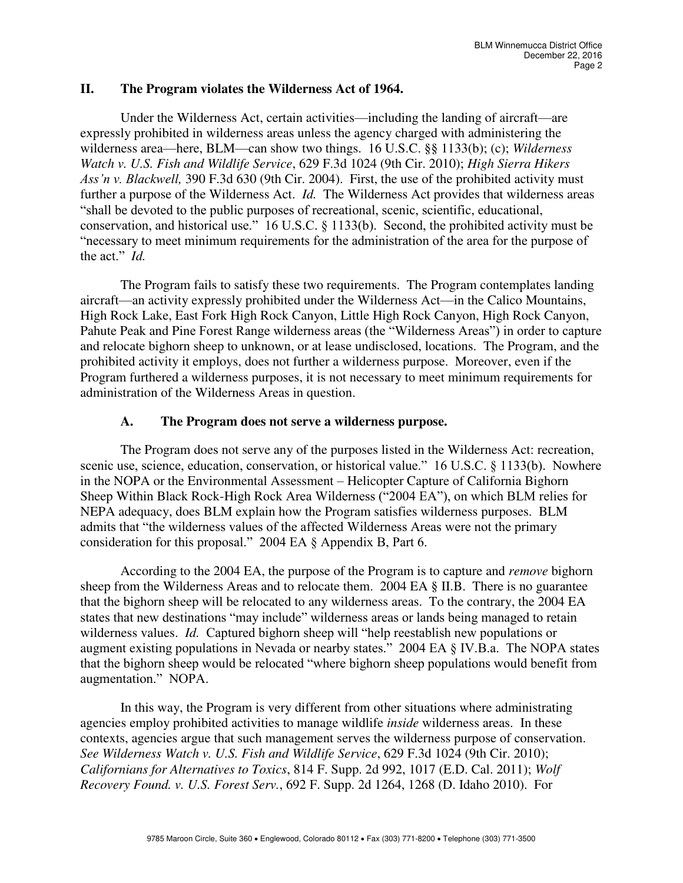#### **II. The Program violates the Wilderness Act of 1964.**

Under the Wilderness Act, certain activities—including the landing of aircraft—are expressly prohibited in wilderness areas unless the agency charged with administering the wilderness area—here, BLM—can show two things. 16 U.S.C. §§ 1133(b); (c); *Wilderness Watch v. U.S. Fish and Wildlife Service*, 629 F.3d 1024 (9th Cir. 2010); *High Sierra Hikers Ass'n v. Blackwell,* 390 F.3d 630 (9th Cir. 2004). First, the use of the prohibited activity must further a purpose of the Wilderness Act. *Id.* The Wilderness Act provides that wilderness areas "shall be devoted to the public purposes of recreational, scenic, scientific, educational, conservation, and historical use." 16 U.S.C. § 1133(b). Second, the prohibited activity must be "necessary to meet minimum requirements for the administration of the area for the purpose of the act." *Id.*

The Program fails to satisfy these two requirements. The Program contemplates landing aircraft—an activity expressly prohibited under the Wilderness Act—in the Calico Mountains, High Rock Lake, East Fork High Rock Canyon, Little High Rock Canyon, High Rock Canyon, Pahute Peak and Pine Forest Range wilderness areas (the "Wilderness Areas") in order to capture and relocate bighorn sheep to unknown, or at lease undisclosed, locations. The Program, and the prohibited activity it employs, does not further a wilderness purpose. Moreover, even if the Program furthered a wilderness purposes, it is not necessary to meet minimum requirements for administration of the Wilderness Areas in question.

### **A. The Program does not serve a wilderness purpose.**

The Program does not serve any of the purposes listed in the Wilderness Act: recreation, scenic use, science, education, conservation, or historical value." 16 U.S.C. § 1133(b). Nowhere in the NOPA or the Environmental Assessment – Helicopter Capture of California Bighorn Sheep Within Black Rock-High Rock Area Wilderness ("2004 EA"), on which BLM relies for NEPA adequacy, does BLM explain how the Program satisfies wilderness purposes. BLM admits that "the wilderness values of the affected Wilderness Areas were not the primary consideration for this proposal." 2004 EA § Appendix B, Part 6.

According to the 2004 EA, the purpose of the Program is to capture and *remove* bighorn sheep from the Wilderness Areas and to relocate them. 2004 EA § II.B. There is no guarantee that the bighorn sheep will be relocated to any wilderness areas. To the contrary, the 2004 EA states that new destinations "may include" wilderness areas or lands being managed to retain wilderness values. *Id.* Captured bighorn sheep will "help reestablish new populations or augment existing populations in Nevada or nearby states." 2004 EA § IV.B.a. The NOPA states that the bighorn sheep would be relocated "where bighorn sheep populations would benefit from augmentation." NOPA.

 In this way, the Program is very different from other situations where administrating agencies employ prohibited activities to manage wildlife *inside* wilderness areas. In these contexts, agencies argue that such management serves the wilderness purpose of conservation. *See Wilderness Watch v. U.S. Fish and Wildlife Service*, 629 F.3d 1024 (9th Cir. 2010); *Californians for Alternatives to Toxics*, 814 F. Supp. 2d 992, 1017 (E.D. Cal. 2011); *Wolf Recovery Found. v. U.S. Forest Serv.*, 692 F. Supp. 2d 1264, 1268 (D. Idaho 2010). For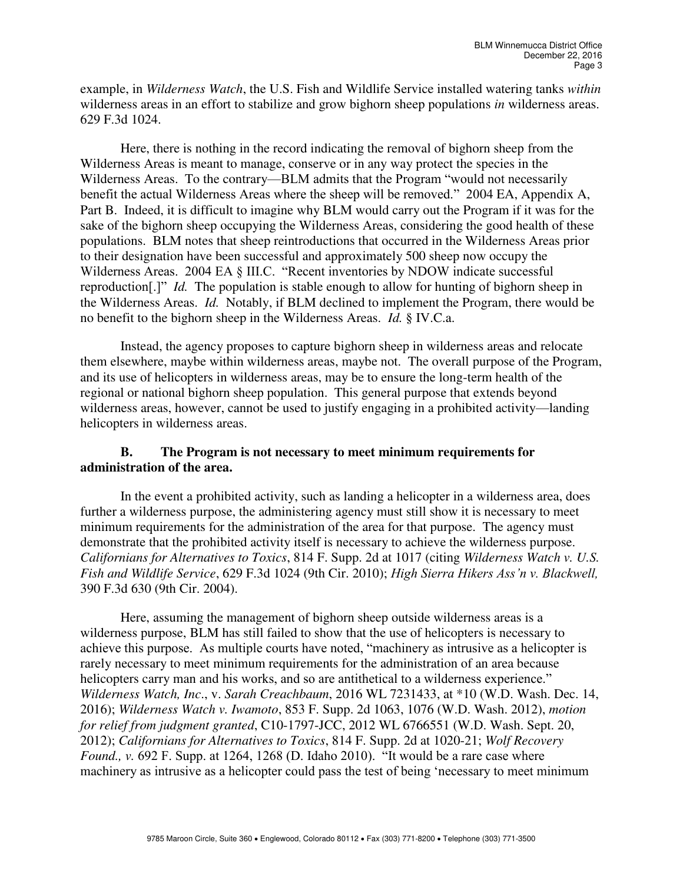example, in *Wilderness Watch*, the U.S. Fish and Wildlife Service installed watering tanks *within* wilderness areas in an effort to stabilize and grow bighorn sheep populations *in* wilderness areas. 629 F.3d 1024.

Here, there is nothing in the record indicating the removal of bighorn sheep from the Wilderness Areas is meant to manage, conserve or in any way protect the species in the Wilderness Areas. To the contrary—BLM admits that the Program "would not necessarily benefit the actual Wilderness Areas where the sheep will be removed." 2004 EA, Appendix A, Part B. Indeed, it is difficult to imagine why BLM would carry out the Program if it was for the sake of the bighorn sheep occupying the Wilderness Areas, considering the good health of these populations. BLM notes that sheep reintroductions that occurred in the Wilderness Areas prior to their designation have been successful and approximately 500 sheep now occupy the Wilderness Areas. 2004 EA § III.C. "Recent inventories by NDOW indicate successful reproduction[.]" *Id.* The population is stable enough to allow for hunting of bighorn sheep in the Wilderness Areas. *Id.* Notably, if BLM declined to implement the Program, there would be no benefit to the bighorn sheep in the Wilderness Areas. *Id.* § IV.C.a.

Instead, the agency proposes to capture bighorn sheep in wilderness areas and relocate them elsewhere, maybe within wilderness areas, maybe not. The overall purpose of the Program, and its use of helicopters in wilderness areas, may be to ensure the long-term health of the regional or national bighorn sheep population. This general purpose that extends beyond wilderness areas, however, cannot be used to justify engaging in a prohibited activity—landing helicopters in wilderness areas.

### **B. The Program is not necessary to meet minimum requirements for administration of the area.**

In the event a prohibited activity, such as landing a helicopter in a wilderness area, does further a wilderness purpose, the administering agency must still show it is necessary to meet minimum requirements for the administration of the area for that purpose. The agency must demonstrate that the prohibited activity itself is necessary to achieve the wilderness purpose. *Californians for Alternatives to Toxics*, 814 F. Supp. 2d at 1017 (citing *Wilderness Watch v. U.S. Fish and Wildlife Service*, 629 F.3d 1024 (9th Cir. 2010); *High Sierra Hikers Ass'n v. Blackwell,*  390 F.3d 630 (9th Cir. 2004).

Here, assuming the management of bighorn sheep outside wilderness areas is a wilderness purpose, BLM has still failed to show that the use of helicopters is necessary to achieve this purpose. As multiple courts have noted, "machinery as intrusive as a helicopter is rarely necessary to meet minimum requirements for the administration of an area because helicopters carry man and his works, and so are antithetical to a wilderness experience." *Wilderness Watch, Inc*., v. *Sarah Creachbaum*, 2016 WL 7231433, at \*10 (W.D. Wash. Dec. 14, 2016); *Wilderness Watch v. Iwamoto*, 853 F. Supp. 2d 1063, 1076 (W.D. Wash. 2012), *motion for relief from judgment granted*, C10-1797-JCC, 2012 WL 6766551 (W.D. Wash. Sept. 20, 2012); *Californians for Alternatives to Toxics*, 814 F. Supp. 2d at 1020-21; *Wolf Recovery Found., v.* 692 F. Supp. at 1264, 1268 (D. Idaho 2010). "It would be a rare case where machinery as intrusive as a helicopter could pass the test of being 'necessary to meet minimum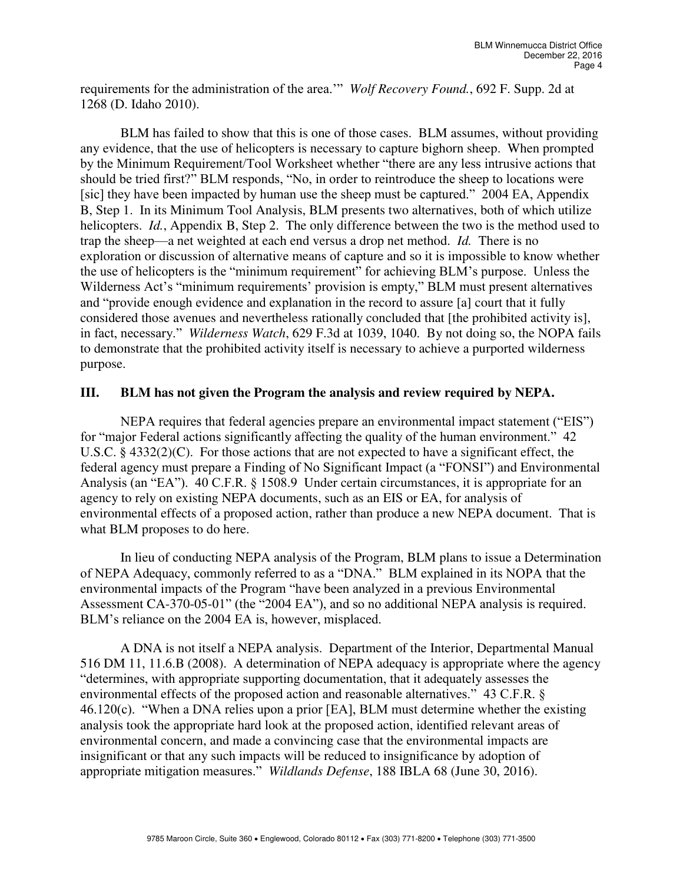requirements for the administration of the area.'" *Wolf Recovery Found.*, 692 F. Supp. 2d at 1268 (D. Idaho 2010).

BLM has failed to show that this is one of those cases. BLM assumes, without providing any evidence, that the use of helicopters is necessary to capture bighorn sheep. When prompted by the Minimum Requirement/Tool Worksheet whether "there are any less intrusive actions that should be tried first?" BLM responds, "No, in order to reintroduce the sheep to locations were [sic] they have been impacted by human use the sheep must be captured." 2004 EA, Appendix B, Step 1. In its Minimum Tool Analysis, BLM presents two alternatives, both of which utilize helicopters. *Id.*, Appendix B, Step 2. The only difference between the two is the method used to trap the sheep—a net weighted at each end versus a drop net method. *Id.* There is no exploration or discussion of alternative means of capture and so it is impossible to know whether the use of helicopters is the "minimum requirement" for achieving BLM's purpose. Unless the Wilderness Act's "minimum requirements' provision is empty," BLM must present alternatives and "provide enough evidence and explanation in the record to assure [a] court that it fully considered those avenues and nevertheless rationally concluded that [the prohibited activity is], in fact, necessary." *Wilderness Watch*, 629 F.3d at 1039, 1040. By not doing so, the NOPA fails to demonstrate that the prohibited activity itself is necessary to achieve a purported wilderness purpose.

### **III. BLM has not given the Program the analysis and review required by NEPA.**

NEPA requires that federal agencies prepare an environmental impact statement ("EIS") for "major Federal actions significantly affecting the quality of the human environment." 42 U.S.C.  $\S$  4332(2)(C). For those actions that are not expected to have a significant effect, the federal agency must prepare a Finding of No Significant Impact (a "FONSI") and Environmental Analysis (an "EA"). 40 C.F.R. § 1508.9 Under certain circumstances, it is appropriate for an agency to rely on existing NEPA documents, such as an EIS or EA, for analysis of environmental effects of a proposed action, rather than produce a new NEPA document. That is what BLM proposes to do here.

In lieu of conducting NEPA analysis of the Program, BLM plans to issue a Determination of NEPA Adequacy, commonly referred to as a "DNA." BLM explained in its NOPA that the environmental impacts of the Program "have been analyzed in a previous Environmental Assessment CA-370-05-01" (the "2004 EA"), and so no additional NEPA analysis is required. BLM's reliance on the 2004 EA is, however, misplaced.

A DNA is not itself a NEPA analysis. Department of the Interior, Departmental Manual 516 DM 11, 11.6.B (2008). A determination of NEPA adequacy is appropriate where the agency "determines, with appropriate supporting documentation, that it adequately assesses the environmental effects of the proposed action and reasonable alternatives." 43 C.F.R. § 46.120(c). "When a DNA relies upon a prior [EA], BLM must determine whether the existing analysis took the appropriate hard look at the proposed action, identified relevant areas of environmental concern, and made a convincing case that the environmental impacts are insignificant or that any such impacts will be reduced to insignificance by adoption of appropriate mitigation measures." *Wildlands Defense*, 188 IBLA 68 (June 30, 2016).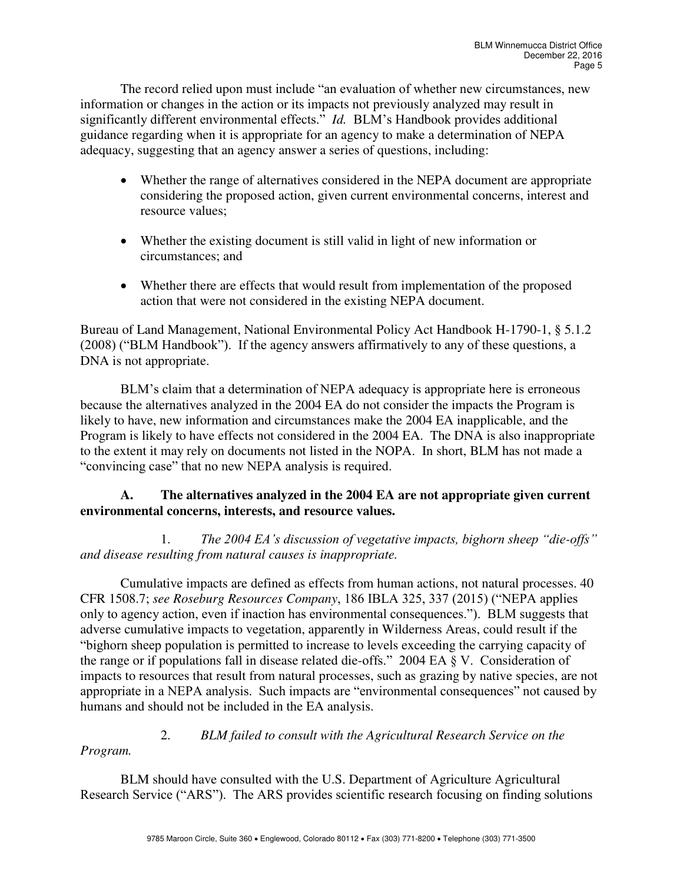The record relied upon must include "an evaluation of whether new circumstances, new information or changes in the action or its impacts not previously analyzed may result in significantly different environmental effects." *Id.* BLM's Handbook provides additional guidance regarding when it is appropriate for an agency to make a determination of NEPA adequacy, suggesting that an agency answer a series of questions, including:

- Whether the range of alternatives considered in the NEPA document are appropriate considering the proposed action, given current environmental concerns, interest and resource values;
- Whether the existing document is still valid in light of new information or circumstances; and
- Whether there are effects that would result from implementation of the proposed action that were not considered in the existing NEPA document.

Bureau of Land Management, National Environmental Policy Act Handbook H-1790-1, § 5.1.2 (2008) ("BLM Handbook"). If the agency answers affirmatively to any of these questions, a DNA is not appropriate.

BLM's claim that a determination of NEPA adequacy is appropriate here is erroneous because the alternatives analyzed in the 2004 EA do not consider the impacts the Program is likely to have, new information and circumstances make the 2004 EA inapplicable, and the Program is likely to have effects not considered in the 2004 EA. The DNA is also inappropriate to the extent it may rely on documents not listed in the NOPA. In short, BLM has not made a "convincing case" that no new NEPA analysis is required.

## **A. The alternatives analyzed in the 2004 EA are not appropriate given current environmental concerns, interests, and resource values.**

1. *The 2004 EA's discussion of vegetative impacts, bighorn sheep "die-offs" and disease resulting from natural causes is inappropriate.* 

Cumulative impacts are defined as effects from human actions, not natural processes. 40 CFR 1508.7; *see Roseburg Resources Company*, 186 IBLA 325, 337 (2015) ("NEPA applies only to agency action, even if inaction has environmental consequences."). BLM suggests that adverse cumulative impacts to vegetation, apparently in Wilderness Areas, could result if the "bighorn sheep population is permitted to increase to levels exceeding the carrying capacity of the range or if populations fall in disease related die-offs." 2004 EA § V. Consideration of impacts to resources that result from natural processes, such as grazing by native species, are not appropriate in a NEPA analysis. Such impacts are "environmental consequences" not caused by humans and should not be included in the EA analysis.

# 2. *BLM failed to consult with the Agricultural Research Service on the*

*Program.* 

BLM should have consulted with the U.S. Department of Agriculture Agricultural Research Service ("ARS"). The ARS provides scientific research focusing on finding solutions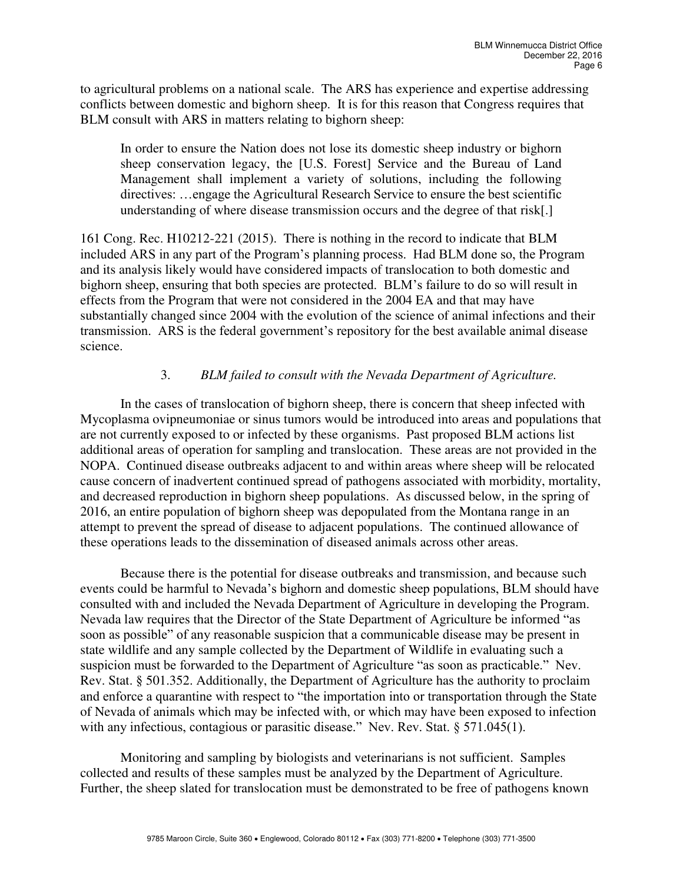to agricultural problems on a national scale. The ARS has experience and expertise addressing conflicts between domestic and bighorn sheep. It is for this reason that Congress requires that BLM consult with ARS in matters relating to bighorn sheep:

In order to ensure the Nation does not lose its domestic sheep industry or bighorn sheep conservation legacy, the [U.S. Forest] Service and the Bureau of Land Management shall implement a variety of solutions, including the following directives: …engage the Agricultural Research Service to ensure the best scientific understanding of where disease transmission occurs and the degree of that risk[.]

161 Cong. Rec. H10212-221 (2015). There is nothing in the record to indicate that BLM included ARS in any part of the Program's planning process. Had BLM done so, the Program and its analysis likely would have considered impacts of translocation to both domestic and bighorn sheep, ensuring that both species are protected. BLM's failure to do so will result in effects from the Program that were not considered in the 2004 EA and that may have substantially changed since 2004 with the evolution of the science of animal infections and their transmission. ARS is the federal government's repository for the best available animal disease science.

### 3. *BLM failed to consult with the Nevada Department of Agriculture.*

In the cases of translocation of bighorn sheep, there is concern that sheep infected with Mycoplasma ovipneumoniae or sinus tumors would be introduced into areas and populations that are not currently exposed to or infected by these organisms. Past proposed BLM actions list additional areas of operation for sampling and translocation. These areas are not provided in the NOPA. Continued disease outbreaks adjacent to and within areas where sheep will be relocated cause concern of inadvertent continued spread of pathogens associated with morbidity, mortality, and decreased reproduction in bighorn sheep populations. As discussed below, in the spring of 2016, an entire population of bighorn sheep was depopulated from the Montana range in an attempt to prevent the spread of disease to adjacent populations. The continued allowance of these operations leads to the dissemination of diseased animals across other areas.

Because there is the potential for disease outbreaks and transmission, and because such events could be harmful to Nevada's bighorn and domestic sheep populations, BLM should have consulted with and included the Nevada Department of Agriculture in developing the Program. Nevada law requires that the Director of the State Department of Agriculture be informed "as soon as possible" of any reasonable suspicion that a communicable disease may be present in state wildlife and any sample collected by the Department of Wildlife in evaluating such a suspicion must be forwarded to the Department of Agriculture "as soon as practicable." Nev. Rev. Stat. § 501.352. Additionally, the Department of Agriculture has the authority to proclaim and enforce a quarantine with respect to "the importation into or transportation through the State of Nevada of animals which may be infected with, or which may have been exposed to infection with any infectious, contagious or parasitic disease." Nev. Rev. Stat. § 571.045(1).

Monitoring and sampling by biologists and veterinarians is not sufficient. Samples collected and results of these samples must be analyzed by the Department of Agriculture. Further, the sheep slated for translocation must be demonstrated to be free of pathogens known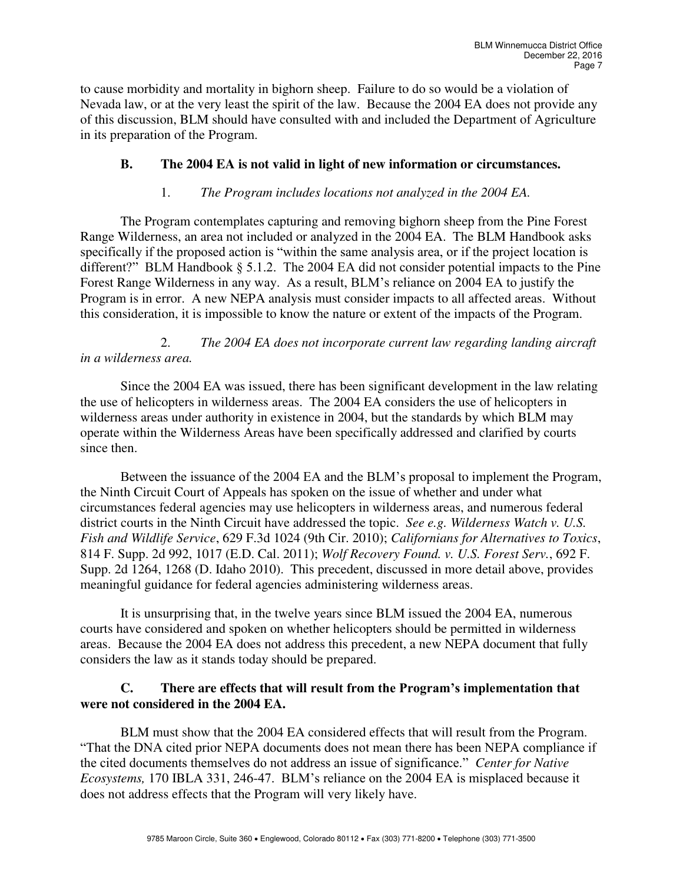to cause morbidity and mortality in bighorn sheep. Failure to do so would be a violation of Nevada law, or at the very least the spirit of the law. Because the 2004 EA does not provide any of this discussion, BLM should have consulted with and included the Department of Agriculture in its preparation of the Program.

### **B. The 2004 EA is not valid in light of new information or circumstances.**

### 1. *The Program includes locations not analyzed in the 2004 EA.*

The Program contemplates capturing and removing bighorn sheep from the Pine Forest Range Wilderness, an area not included or analyzed in the 2004 EA. The BLM Handbook asks specifically if the proposed action is "within the same analysis area, or if the project location is different?" BLM Handbook § 5.1.2. The 2004 EA did not consider potential impacts to the Pine Forest Range Wilderness in any way. As a result, BLM's reliance on 2004 EA to justify the Program is in error. A new NEPA analysis must consider impacts to all affected areas. Without this consideration, it is impossible to know the nature or extent of the impacts of the Program.

## 2. *The 2004 EA does not incorporate current law regarding landing aircraft in a wilderness area.*

Since the 2004 EA was issued, there has been significant development in the law relating the use of helicopters in wilderness areas. The 2004 EA considers the use of helicopters in wilderness areas under authority in existence in 2004, but the standards by which BLM may operate within the Wilderness Areas have been specifically addressed and clarified by courts since then.

Between the issuance of the 2004 EA and the BLM's proposal to implement the Program, the Ninth Circuit Court of Appeals has spoken on the issue of whether and under what circumstances federal agencies may use helicopters in wilderness areas, and numerous federal district courts in the Ninth Circuit have addressed the topic. *See e.g. Wilderness Watch v. U.S. Fish and Wildlife Service*, 629 F.3d 1024 (9th Cir. 2010); *Californians for Alternatives to Toxics*, 814 F. Supp. 2d 992, 1017 (E.D. Cal. 2011); *Wolf Recovery Found. v. U.S. Forest Serv.*, 692 F. Supp. 2d 1264, 1268 (D. Idaho 2010). This precedent, discussed in more detail above, provides meaningful guidance for federal agencies administering wilderness areas.

It is unsurprising that, in the twelve years since BLM issued the 2004 EA, numerous courts have considered and spoken on whether helicopters should be permitted in wilderness areas. Because the 2004 EA does not address this precedent, a new NEPA document that fully considers the law as it stands today should be prepared.

### **C. There are effects that will result from the Program's implementation that were not considered in the 2004 EA.**

BLM must show that the 2004 EA considered effects that will result from the Program. "That the DNA cited prior NEPA documents does not mean there has been NEPA compliance if the cited documents themselves do not address an issue of significance." *Center for Native Ecosystems,* 170 IBLA 331, 246-47. BLM's reliance on the 2004 EA is misplaced because it does not address effects that the Program will very likely have.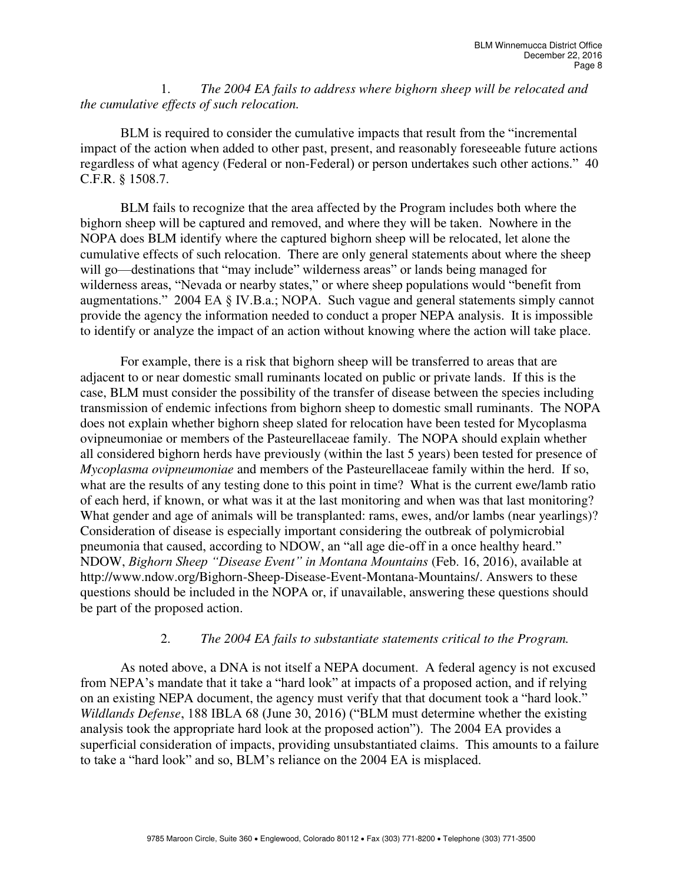1. *The 2004 EA fails to address where bighorn sheep will be relocated and the cumulative effects of such relocation.* 

BLM is required to consider the cumulative impacts that result from the "incremental impact of the action when added to other past, present, and reasonably foreseeable future actions regardless of what agency (Federal or non-Federal) or person undertakes such other actions." 40 C.F.R. § 1508.7.

BLM fails to recognize that the area affected by the Program includes both where the bighorn sheep will be captured and removed, and where they will be taken. Nowhere in the NOPA does BLM identify where the captured bighorn sheep will be relocated, let alone the cumulative effects of such relocation. There are only general statements about where the sheep will go—destinations that "may include" wilderness areas" or lands being managed for wilderness areas, "Nevada or nearby states," or where sheep populations would "benefit from augmentations." 2004 EA § IV.B.a.; NOPA. Such vague and general statements simply cannot provide the agency the information needed to conduct a proper NEPA analysis. It is impossible to identify or analyze the impact of an action without knowing where the action will take place.

For example, there is a risk that bighorn sheep will be transferred to areas that are adjacent to or near domestic small ruminants located on public or private lands. If this is the case, BLM must consider the possibility of the transfer of disease between the species including transmission of endemic infections from bighorn sheep to domestic small ruminants. The NOPA does not explain whether bighorn sheep slated for relocation have been tested for Mycoplasma ovipneumoniae or members of the Pasteurellaceae family. The NOPA should explain whether all considered bighorn herds have previously (within the last 5 years) been tested for presence of *Mycoplasma ovipneumoniae* and members of the Pasteurellaceae family within the herd. If so, what are the results of any testing done to this point in time? What is the current ewe/lamb ratio of each herd, if known, or what was it at the last monitoring and when was that last monitoring? What gender and age of animals will be transplanted: rams, ewes, and/or lambs (near yearlings)? Consideration of disease is especially important considering the outbreak of polymicrobial pneumonia that caused, according to NDOW, an "all age die-off in a once healthy heard." NDOW, *Bighorn Sheep "Disease Event" in Montana Mountains* (Feb. 16, 2016), available at http://www.ndow.org/Bighorn-Sheep-Disease-Event-Montana-Mountains/. Answers to these questions should be included in the NOPA or, if unavailable, answering these questions should be part of the proposed action.

### 2. *The 2004 EA fails to substantiate statements critical to the Program.*

As noted above, a DNA is not itself a NEPA document. A federal agency is not excused from NEPA's mandate that it take a "hard look" at impacts of a proposed action, and if relying on an existing NEPA document, the agency must verify that that document took a "hard look." *Wildlands Defense*, 188 IBLA 68 (June 30, 2016) ("BLM must determine whether the existing analysis took the appropriate hard look at the proposed action"). The 2004 EA provides a superficial consideration of impacts, providing unsubstantiated claims. This amounts to a failure to take a "hard look" and so, BLM's reliance on the 2004 EA is misplaced.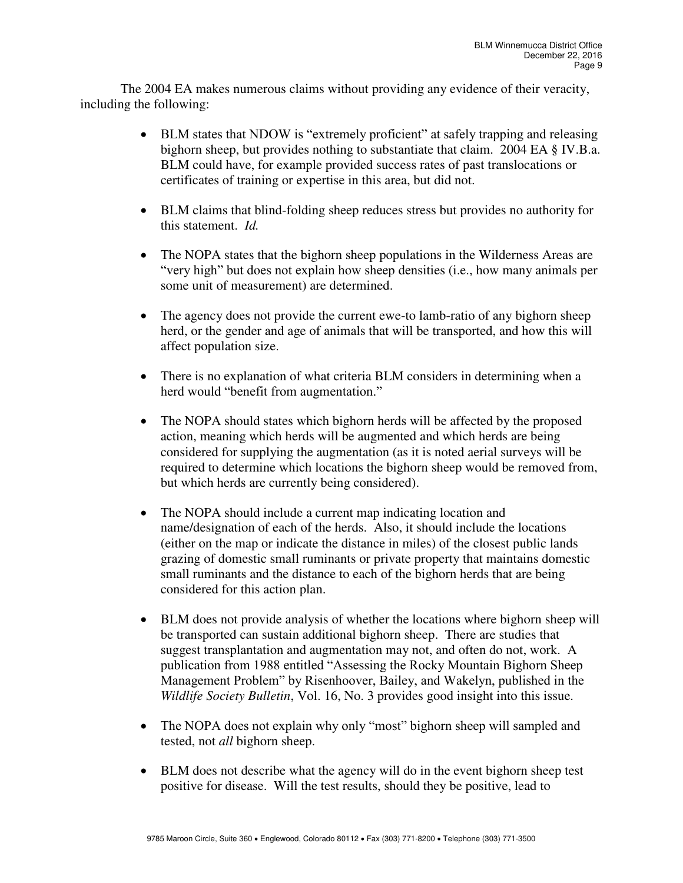The 2004 EA makes numerous claims without providing any evidence of their veracity, including the following:

- BLM states that NDOW is "extremely proficient" at safely trapping and releasing bighorn sheep, but provides nothing to substantiate that claim. 2004 EA § IV.B.a. BLM could have, for example provided success rates of past translocations or certificates of training or expertise in this area, but did not.
- BLM claims that blind-folding sheep reduces stress but provides no authority for this statement. *Id.*
- The NOPA states that the bighorn sheep populations in the Wilderness Areas are "very high" but does not explain how sheep densities (i.e., how many animals per some unit of measurement) are determined.
- The agency does not provide the current ewe-to lamb-ratio of any bighorn sheep herd, or the gender and age of animals that will be transported, and how this will affect population size.
- There is no explanation of what criteria BLM considers in determining when a herd would "benefit from augmentation."
- The NOPA should states which bighorn herds will be affected by the proposed action, meaning which herds will be augmented and which herds are being considered for supplying the augmentation (as it is noted aerial surveys will be required to determine which locations the bighorn sheep would be removed from, but which herds are currently being considered).
- The NOPA should include a current map indicating location and name/designation of each of the herds. Also, it should include the locations (either on the map or indicate the distance in miles) of the closest public lands grazing of domestic small ruminants or private property that maintains domestic small ruminants and the distance to each of the bighorn herds that are being considered for this action plan.
- BLM does not provide analysis of whether the locations where bighorn sheep will be transported can sustain additional bighorn sheep. There are studies that suggest transplantation and augmentation may not, and often do not, work. A publication from 1988 entitled "Assessing the Rocky Mountain Bighorn Sheep Management Problem" by Risenhoover, Bailey, and Wakelyn, published in the *Wildlife Society Bulletin*, Vol. 16, No. 3 provides good insight into this issue.
- The NOPA does not explain why only "most" bighorn sheep will sampled and tested, not *all* bighorn sheep.
- BLM does not describe what the agency will do in the event bighorn sheep test positive for disease. Will the test results, should they be positive, lead to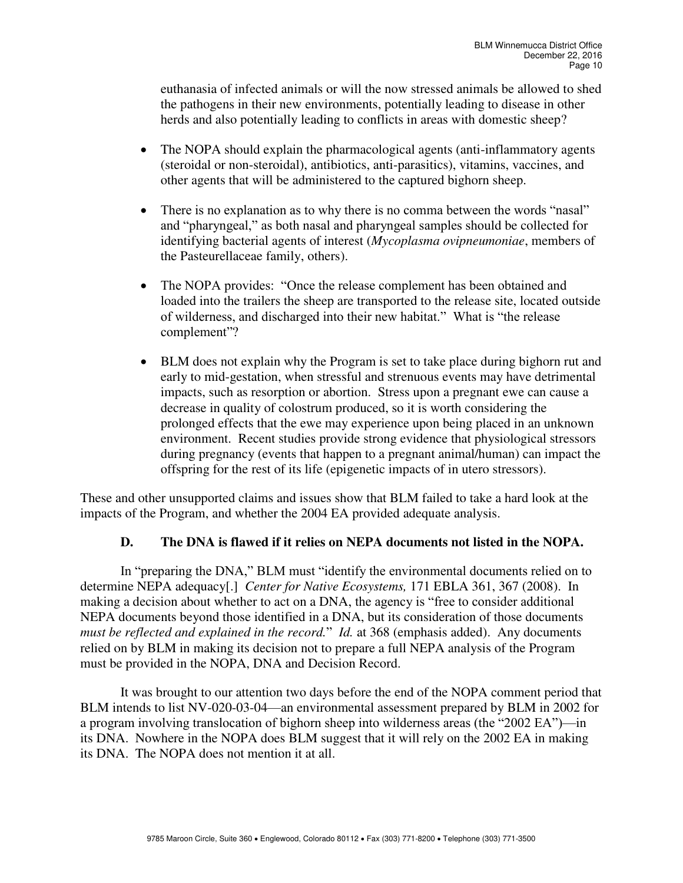euthanasia of infected animals or will the now stressed animals be allowed to shed the pathogens in their new environments, potentially leading to disease in other herds and also potentially leading to conflicts in areas with domestic sheep?

- The NOPA should explain the pharmacological agents (anti-inflammatory agents) (steroidal or non-steroidal), antibiotics, anti-parasitics), vitamins, vaccines, and other agents that will be administered to the captured bighorn sheep.
- There is no explanation as to why there is no comma between the words "nasal" and "pharyngeal," as both nasal and pharyngeal samples should be collected for identifying bacterial agents of interest (*Mycoplasma ovipneumoniae*, members of the Pasteurellaceae family, others).
- The NOPA provides: "Once the release complement has been obtained and loaded into the trailers the sheep are transported to the release site, located outside of wilderness, and discharged into their new habitat." What is "the release complement"?
- BLM does not explain why the Program is set to take place during bighorn rut and early to mid-gestation, when stressful and strenuous events may have detrimental impacts, such as resorption or abortion. Stress upon a pregnant ewe can cause a decrease in quality of colostrum produced, so it is worth considering the prolonged effects that the ewe may experience upon being placed in an unknown environment. Recent studies provide strong evidence that physiological stressors during pregnancy (events that happen to a pregnant animal/human) can impact the offspring for the rest of its life (epigenetic impacts of in utero stressors).

These and other unsupported claims and issues show that BLM failed to take a hard look at the impacts of the Program, and whether the 2004 EA provided adequate analysis.

## **D. The DNA is flawed if it relies on NEPA documents not listed in the NOPA.**

In "preparing the DNA," BLM must "identify the environmental documents relied on to determine NEPA adequacy[.] *Center for Native Ecosystems,* 171 EBLA 361, 367 (2008). In making a decision about whether to act on a DNA, the agency is "free to consider additional NEPA documents beyond those identified in a DNA, but its consideration of those documents *must be reflected and explained in the record.*" *Id.* at 368 (emphasis added). Any documents relied on by BLM in making its decision not to prepare a full NEPA analysis of the Program must be provided in the NOPA, DNA and Decision Record.

It was brought to our attention two days before the end of the NOPA comment period that BLM intends to list NV-020-03-04—an environmental assessment prepared by BLM in 2002 for a program involving translocation of bighorn sheep into wilderness areas (the "2002 EA")—in its DNA. Nowhere in the NOPA does BLM suggest that it will rely on the 2002 EA in making its DNA. The NOPA does not mention it at all.